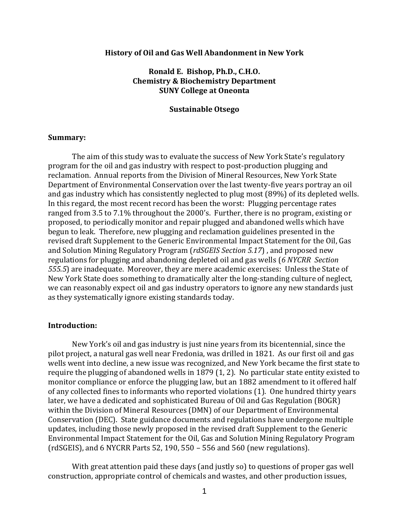#### **History of Oil and Gas Well Abandonment in New York**

# **Ronald E. Bishop, Ph.D., C.H.O. Chemistry & Biochemistry Department SUNY College at Oneonta**

### **Sustainable Otsego**

#### **Summary:**

The aim of this study was to evaluate the success of New York State's regulatory program for the oil and gas industry with respect to post-production plugging and reclamation. Annual reports from the Division of Mineral Resources, New York State Department of Environmental Conservation over the last twenty-five years portray an oil and gas industry which has consistently neglected to plug most (89%) of its depleted wells. In this regard, the most recent record has been the worst: Plugging percentage rates ranged from 3.5 to 7.1% throughout the 2000's. Further, there is no program, existing or proposed, to periodically monitor and repair plugged and abandoned wells which have begun to leak. Therefore, new plugging and reclamation guidelines presented in the revised draft Supplement to the Generic Environmental Impact Statement for the Oil, Gas and Solution Mining Regulatory Program (*rdSGEIS Section 5.17*) , and proposed new regulations for plugging and abandoning depleted oil and gas wells (*6 NYCRR Section 555.5*) are inadequate. Moreover, they are mere academic exercises: Unless the State of New York State does something to dramatically alter the long-standing culture of neglect, we can reasonably expect oil and gas industry operators to ignore any new standards just as they systematically ignore existing standards today.

## **Introduction:**

New York's oil and gas industry is just nine years from its bicentennial, since the pilot project, a natural gas well near Fredonia, was drilled in 1821. As our first oil and gas wells went into decline, a new issue was recognized, and New York became the first state to require the plugging of abandoned wells in 1879 (1, 2). No particular state entity existed to monitor compliance or enforce the plugging law, but an 1882 amendment to it offered half of any collected fines to informants who reported violations (1). One hundred thirty years later, we have a dedicated and sophisticated Bureau of Oil and Gas Regulation (BOGR) within the Division of Mineral Resources (DMN) of our Department of Environmental Conservation (DEC). State guidance documents and regulations have undergone multiple updates, including those newly proposed in the revised draft Supplement to the Generic Environmental Impact Statement for the Oil, Gas and Solution Mining Regulatory Program (rdSGEIS), and 6 NYCRR Parts 52, 190, 550 – 556 and 560 (new regulations).

With great attention paid these days (and justly so) to questions of proper gas well construction, appropriate control of chemicals and wastes, and other production issues,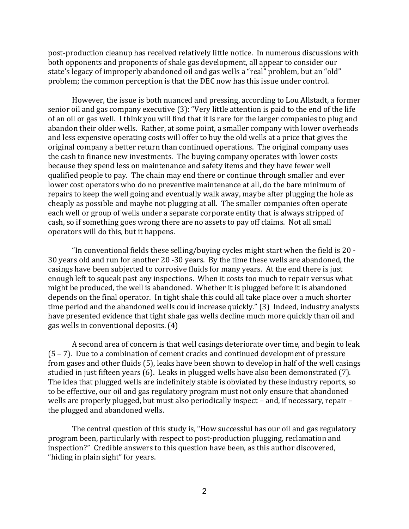post-production cleanup has received relatively little notice. In numerous discussions with both opponents and proponents of shale gas development, all appear to consider our state's legacy of improperly abandoned oil and gas wells a "real" problem, but an "old" problem; the common perception is that the DEC now has this issue under control.

However, the issue is both nuanced and pressing, according to Lou Allstadt, a former senior oil and gas company executive (3): "Very little attention is paid to the end of the life of an oil or gas well. I think you will find that it is rare for the larger companies to plug and abandon their older wells. Rather, at some point, a smaller company with lower overheads and less expensive operating costs will offer to buy the old wells at a price that gives the original company a better return than continued operations. The original company uses the cash to finance new investments. The buying company operates with lower costs because they spend less on maintenance and safety items and they have fewer well qualified people to pay. The chain may end there or continue through smaller and ever lower cost operators who do no preventive maintenance at all, do the bare minimum of repairs to keep the well going and eventually walk away, maybe after plugging the hole as cheaply as possible and maybe not plugging at all. The smaller companies often operate each well or group of wells under a separate corporate entity that is always stripped of cash, so if something goes wrong there are no assets to pay off claims. Not all small operators will do this, but it happens.

"In conventional fields these selling/buying cycles might start when the field is 20 - 30 years old and run for another 20 -30 years. By the time these wells are abandoned, the casings have been subjected to corrosive fluids for many years. At the end there is just enough left to squeak past any inspections. When it costs too much to repair versus what might be produced, the well is abandoned. Whether it is plugged before it is abandoned depends on the final operator. In tight shale this could all take place over a much shorter time period and the abandoned wells could increase quickly." (3) Indeed, industry analysts have presented evidence that tight shale gas wells decline much more quickly than oil and gas wells in conventional deposits. (4)

A second area of concern is that well casings deteriorate over time, and begin to leak (5 – 7). Due to a combination of cement cracks and continued development of pressure from gases and other fluids (5), leaks have been shown to develop in half of the well casings studied in just fifteen years (6). Leaks in plugged wells have also been demonstrated (7). The idea that plugged wells are indefinitely stable is obviated by these industry reports, so to be effective, our oil and gas regulatory program must not only ensure that abandoned wells are properly plugged, but must also periodically inspect – and, if necessary, repair – the plugged and abandoned wells.

The central question of this study is, "How successful has our oil and gas regulatory program been, particularly with respect to post-production plugging, reclamation and inspection?" Credible answers to this question have been, as this author discovered, "hiding in plain sight" for years.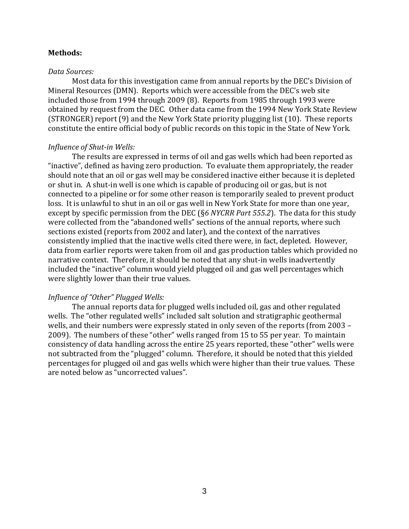## **Methods:**

#### *Data Sources:*

Most data for this investigation came from annual reports by the DEC's Division of Mineral Resources (DMN). Reports which were accessible from the DEC's web site included those from 1994 through 2009 (8). Reports from 1985 through 1993 were obtained by request from the DEC. Other data came from the 1994 New York State Review (STRONGER) report (9) and the New York State priority plugging list (10). These reports constitute the entire official body of public records on this topic in the State of New York.

## *Influence of Shut-in Wells:*

The results are expressed in terms of oil and gas wells which had been reported as "inactive", defined as having zero production. To evaluate them appropriately, the reader should note that an oil or gas well may be considered inactive either because it is depleted or shut in. A shut-in well is one which is capable of producing oil or gas, but is not connected to a pipeline or for some other reason is temporarily sealed to prevent product loss. It is unlawful to shut in an oil or gas well in New York State for more than one year, except by specific permission from the DEC (§*6 NYCRR Part 555.2*). The data for this study were collected from the "abandoned wells" sections of the annual reports, where such sections existed (reports from 2002 and later), and the context of the narratives consistently implied that the inactive wells cited there were, in fact, depleted. However, data from earlier reports were taken from oil and gas production tables which provided no narrative context. Therefore, it should be noted that any shut-in wells inadvertently included the "inactive" column would yield plugged oil and gas well percentages which were slightly lower than their true values.

# *Influence of "Other" Plugged Wells:*

The annual reports data for plugged wells included oil, gas and other regulated wells. The "other regulated wells" included salt solution and stratigraphic geothermal wells, and their numbers were expressly stated in only seven of the reports (from 2003 – 2009). The numbers of these "other" wells ranged from 15 to 55 per year. To maintain consistency of data handling across the entire 25 years reported, these "other" wells were not subtracted from the "plugged" column. Therefore, it should be noted that this yielded percentages for plugged oil and gas wells which were higher than their true values. These are noted below as "uncorrected values".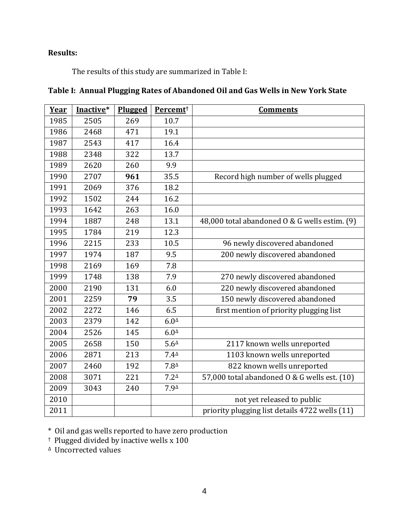# **Results:**

The results of this study are summarized in Table I:

| Year | Inactive* | Plugged | Percemt <sup>+</sup> | <b>Comments</b>                                |
|------|-----------|---------|----------------------|------------------------------------------------|
| 1985 | 2505      | 269     | 10.7                 |                                                |
| 1986 | 2468      | 471     | 19.1                 |                                                |
| 1987 | 2543      | 417     | 16.4                 |                                                |
| 1988 | 2348      | 322     | 13.7                 |                                                |
| 1989 | 2620      | 260     | 9.9                  |                                                |
| 1990 | 2707      | 961     | 35.5                 | Record high number of wells plugged            |
| 1991 | 2069      | 376     | 18.2                 |                                                |
| 1992 | 1502      | 244     | 16.2                 |                                                |
| 1993 | 1642      | 263     | 16.0                 |                                                |
| 1994 | 1887      | 248     | 13.1                 | 48,000 total abandoned 0 & G wells estim. (9)  |
| 1995 | 1784      | 219     | 12.3                 |                                                |
| 1996 | 2215      | 233     | 10.5                 | 96 newly discovered abandoned                  |
| 1997 | 1974      | 187     | 9.5                  | 200 newly discovered abandoned                 |
| 1998 | 2169      | 169     | 7.8                  |                                                |
| 1999 | 1748      | 138     | 7.9                  | 270 newly discovered abandoned                 |
| 2000 | 2190      | 131     | 6.0                  | 220 newly discovered abandoned                 |
| 2001 | 2259      | 79      | 3.5                  | 150 newly discovered abandoned                 |
| 2002 | 2272      | 146     | 6.5                  | first mention of priority plugging list        |
| 2003 | 2379      | 142     | $6.0^{\Delta}$       |                                                |
| 2004 | 2526      | 145     | $6.0^{\Delta}$       |                                                |
| 2005 | 2658      | 150     | $5.6^{\Delta}$       | 2117 known wells unreported                    |
| 2006 | 2871      | 213     | $7.4^{\Delta}$       | 1103 known wells unreported                    |
| 2007 | 2460      | 192     | $7.8^{\Delta}$       | 822 known wells unreported                     |
| 2008 | 3071      | 221     | $7.2^{\triangle}$    | 57,000 total abandoned 0 & G wells est. (10)   |
| 2009 | 3043      | 240     | 7.9 <sup>4</sup>     |                                                |
| 2010 |           |         |                      | not yet released to public                     |
| 2011 |           |         |                      | priority plugging list details 4722 wells (11) |

# **Table I: Annual Plugging Rates of Abandoned Oil and Gas Wells in New York State**

\* Oil and gas wells reported to have zero production

† Plugged divided by inactive wells x 100

∆ Uncorrected values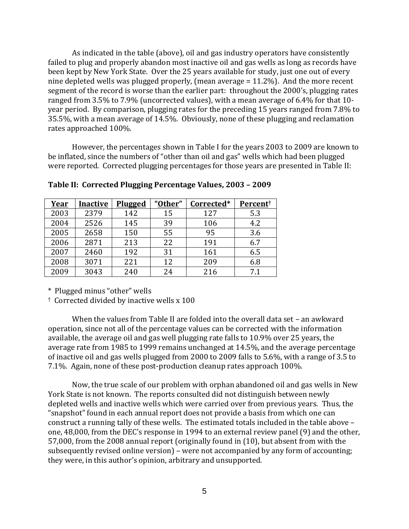As indicated in the table (above), oil and gas industry operators have consistently failed to plug and properly abandon most inactive oil and gas wells as long as records have been kept by New York State. Over the 25 years available for study, just one out of every nine depleted wells was plugged properly, (mean average = 11.2%). And the more recent segment of the record is worse than the earlier part: throughout the 2000's, plugging rates ranged from 3.5% to 7.9% (uncorrected values), with a mean average of 6.4% for that 10 year period. By comparison, plugging rates for the preceding 15 years ranged from 7.8% to 35.5%, with a mean average of 14.5%. Obviously, none of these plugging and reclamation rates approached 100%.

However, the percentages shown in Table I for the years 2003 to 2009 are known to be inflated, since the numbers of "other than oil and gas" wells which had been plugged were reported. Corrected plugging percentages for those years are presented in Table II:

| <u>Year</u> | <b>Inactive</b> | <b>Plugged</b> | "Other" | Corrected* | Percent <sup>†</sup> |
|-------------|-----------------|----------------|---------|------------|----------------------|
| 2003        | 2379            | 142            | 15      | 127        | 5.3                  |
| 2004        | 2526            | 145            | 39      | 106        | 4.2                  |
| 2005        | 2658            | 150            | 55      | 95         | 3.6                  |
| 2006        | 2871            | 213            | 22      | 191        | 6.7                  |
| 2007        | 2460            | 192            | 31      | 161        | 6.5                  |
| 2008        | 3071            | 221            | 12      | 209        | 6.8                  |
| 2009        | 3043            | 240            | 24      | 216        | 71                   |

**Table II: Corrected Plugging Percentage Values, 2003 – 2009**

\* Plugged minus "other" wells

† Corrected divided by inactive wells x 100

When the values from Table II are folded into the overall data set – an awkward operation, since not all of the percentage values can be corrected with the information available, the average oil and gas well plugging rate falls to 10.9% over 25 years, the average rate from 1985 to 1999 remains unchanged at 14.5%, and the average percentage of inactive oil and gas wells plugged from 2000 to 2009 falls to 5.6%, with a range of 3.5 to 7.1%. Again, none of these post-production cleanup rates approach 100%.

Now, the true scale of our problem with orphan abandoned oil and gas wells in New York State is not known. The reports consulted did not distinguish between newly depleted wells and inactive wells which were carried over from previous years. Thus, the "snapshot" found in each annual report does not provide a basis from which one can construct a running tally of these wells. The estimated totals included in the table above – one, 48,000, from the DEC's response in 1994 to an external review panel (9) and the other, 57,000, from the 2008 annual report (originally found in (10), but absent from with the subsequently revised online version) – were not accompanied by any form of accounting; they were, in this author's opinion, arbitrary and unsupported.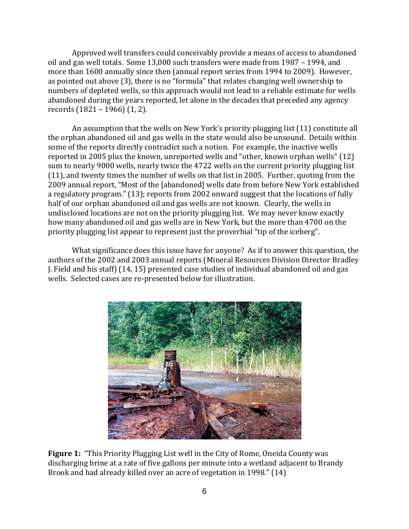Approved well transfers could conceivably provide a means of access to abandoned oil and gas well totals. Some 13,000 such transfers were made from 1987 – 1994, and more than 1600 annually since then (annual report series from 1994 to 2009). However, as pointed out above (3), there is no "formula" that relates changing well ownership to numbers of depleted wells, so this approach would not lead to a reliable estimate for wells abandoned during the years reported, let alone in the decades that preceded any agency records (1821 – 1966) (1, 2).

An assumption that the wells on New York's priority plugging list (11) constitute all the orphan abandoned oil and gas wells in the state would also be unsound. Details within some of the reports directly contradict such a notion. For example, the inactive wells reported in 2005 plus the known, unreported wells and "other, known orphan wells" (12) sum to nearly 9000 wells, nearly twice the 4722 wells on the current priority plugging list (11), and twenty times the number of wells on that list in 2005. Further, quoting from the 2009 annual report, "Most of the [abandoned] wells date from before New York established a regulatory program." (13); reports from 2002 onward suggest that the locations of fully half of our orphan abandoned oil and gas wells are not known. Clearly, the wells in undisclosed locations are not on the priority plugging list. We may never know exactly how many abandoned oil and gas wells are in New York, but the more than 4700 on the priority plugging list appear to represent just the proverbial "tip of the iceberg".

What significance does this issue have for anyone? As if to answer this question, the authors of the 2002 and 2003 annual reports (Mineral Resources Division Director Bradley J. Field and his staff) (14, 15) presented case studies of individual abandoned oil and gas wells. Selected cases are re-presented below for illustration.



**Figure 1:** "This Priority Plugging List well in the City of Rome, Oneida County was discharging brine at a rate of five gallons per minute into a wetland adjacent to Brandy Brook and had already killed over an acre of vegetation in 1998." (14)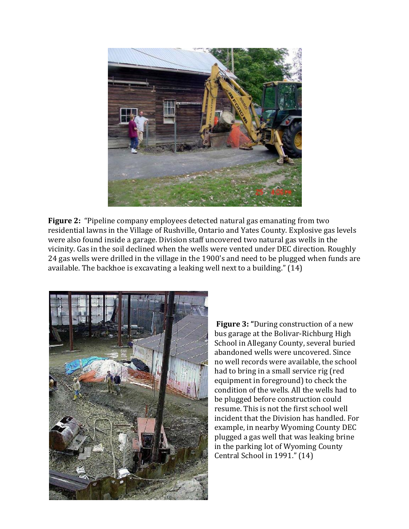

**Figure 2:** "Pipeline company employees detected natural gas emanating from two residential lawns in the Village of Rushville, Ontario and Yates County. Explosive gas levels were also found inside a garage. Division staff uncovered two natural gas wells in the vicinity. Gas in the soil declined when the wells were vented under DEC direction. Roughly 24 gas wells were drilled in the village in the 1900's and need to be plugged when funds are available. The backhoe is excavating a leaking well next to a building." (14)



**Figure 3: "**During construction of a new bus garage at the Bolivar-Richburg High School in Allegany County, several buried abandoned wells were uncovered. Since no well records were available, the school had to bring in a small service rig (red equipment in foreground) to check the condition of the wells. All the wells had to be plugged before construction could resume. This is not the first school well incident that the Division has handled. For example, in nearby Wyoming County DEC plugged a gas well that was leaking brine in the parking lot of Wyoming County Central School in 1991." (14)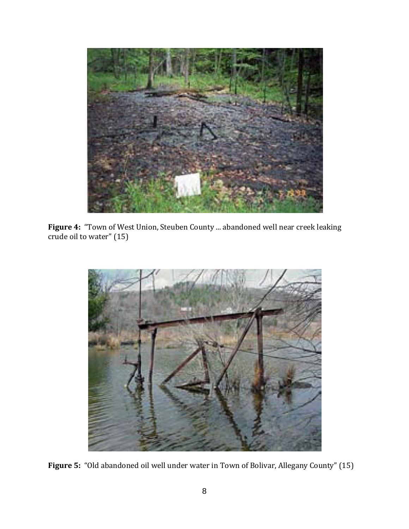

**Figure 4:** "Town of West Union, Steuben County ... abandoned well near creek leaking crude oil to water" (15)



**Figure 5:** "Old abandoned oil well under water in Town of Bolivar, Allegany County" (15)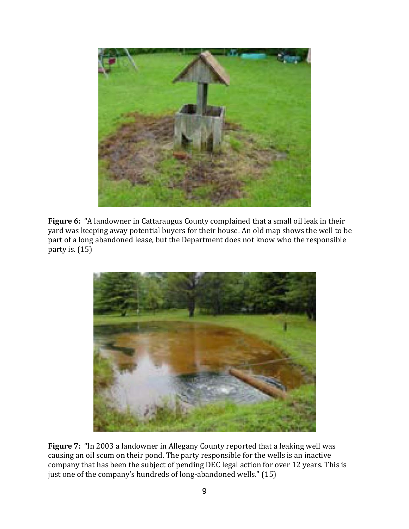

**Figure 6:** "A landowner in Cattaraugus County complained that a small oil leak in their yard was keeping away potential buyers for their house. An old map shows the well to be part of a long abandoned lease, but the Department does not know who the responsible party is. (15)



**Figure 7:** "In 2003 a landowner in Allegany County reported that a leaking well was causing an oil scum on their pond. The party responsible for the wells is an inactive company that has been the subject of pending DEC legal action for over 12 years. This is just one of the company's hundreds of long-abandoned wells." (15)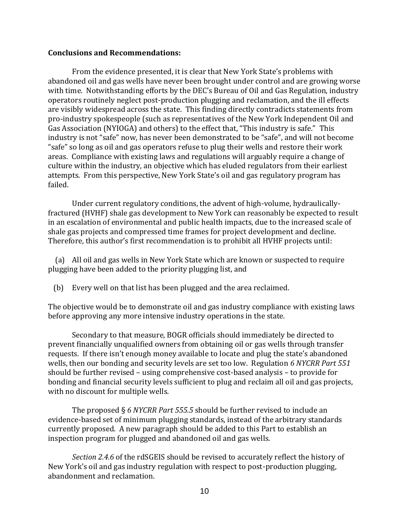## **Conclusions and Recommendations:**

From the evidence presented, it is clear that New York State's problems with abandoned oil and gas wells have never been brought under control and are growing worse with time. Notwithstanding efforts by the DEC's Bureau of Oil and Gas Regulation, industry operators routinely neglect post-production plugging and reclamation, and the ill effects are visibly widespread across the state. This finding directly contradicts statements from pro-industry spokespeople (such as representatives of the New York Independent Oil and Gas Association (NYIOGA) and others) to the effect that, "This industry is safe." This industry is not "safe" now, has never been demonstrated to be "safe", and will not become "safe" so long as oil and gas operators refuse to plug their wells and restore their work areas. Compliance with existing laws and regulations will arguably require a change of culture within the industry, an objective which has eluded regulators from their earliest attempts. From this perspective, New York State's oil and gas regulatory program has failed.

Under current regulatory conditions, the advent of high-volume, hydraulicallyfractured (HVHF) shale gas development to New York can reasonably be expected to result in an escalation of environmental and public health impacts, due to the increased scale of shale gas projects and compressed time frames for project development and decline. Therefore, this author's first recommendation is to prohibit all HVHF projects until:

 (a) All oil and gas wells in New York State which are known or suspected to require plugging have been added to the priority plugging list, and

(b) Every well on that list has been plugged and the area reclaimed.

The objective would be to demonstrate oil and gas industry compliance with existing laws before approving any more intensive industry operations in the state.

Secondary to that measure, BOGR officials should immediately be directed to prevent financially unqualified owners from obtaining oil or gas wells through transfer requests. If there isn't enough money available to locate and plug the state's abandoned wells, then our bonding and security levels are set too low. Regulation *6 NYCRR Part 551* should be further revised – using comprehensive cost-based analysis – to provide for bonding and financial security levels sufficient to plug and reclaim all oil and gas projects, with no discount for multiple wells.

The proposed § *6 NYCRR Part 555.5* should be further revised to include an evidence-based set of minimum plugging standards, instead of the arbitrary standards currently proposed. A new paragraph should be added to this Part to establish an inspection program for plugged and abandoned oil and gas wells.

*Section 2.4.6* of the rdSGEIS should be revised to accurately reflect the history of New York's oil and gas industry regulation with respect to post-production plugging, abandonment and reclamation.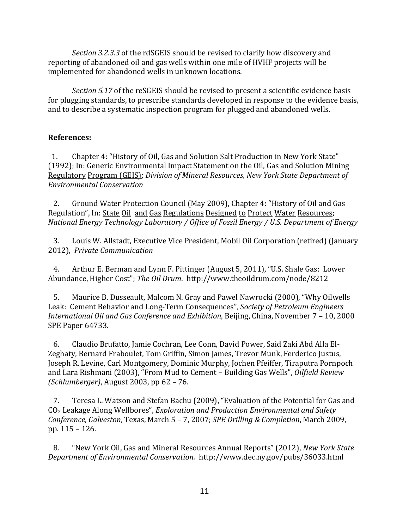*Section 3.2.3.3* of the rdSGEIS should be revised to clarify how discovery and reporting of abandoned oil and gas wells within one mile of HVHF projects will be implemented for abandoned wells in unknown locations.

*Section 5.17* of the reSGEIS should be revised to present a scientific evidence basis for plugging standards, to prescribe standards developed in response to the evidence basis, and to describe a systematic inspection program for plugged and abandoned wells.

# **References:**

 1. Chapter 4: "History of Oil, Gas and Solution Salt Production in New York State" (1992); In: Generic Environmental Impact Statement on the Oil, Gas and Solution Mining Regulatory Program (GEIS); *Division of Mineral Resources, New York State Department of Environmental Conservation* 

 2. Ground Water Protection Council (May 2009), Chapter 4: "History of Oil and Gas Regulation", In: State Oil and Gas Regulations Designed to Protect Water Resources; *National Energy Technology Laboratory / Office of Fossil Energy / U.S. Department of Energy*

 3. Louis W. Allstadt, Executive Vice President, Mobil Oil Corporation (retired) (January 2012), *Private Communication*

 4. Arthur E. Berman and Lynn F. Pittinger (August 5, 2011), "U.S. Shale Gas: Lower Abundance, Higher Cost"; *The Oil Drum*. http://www.theoildrum.com/node/8212

 5. Maurice B. Dusseault, Malcom N. Gray and Pawel Nawrocki (2000), "Why Oilwells Leak: Cement Behavior and Long-Term Consequences", *Society of Petroleum Engineers International Oil and Gas Conference and Exhibition*, Beijing, China, November 7 – 10, 2000 SPE Paper 64733.

 6. Claudio Brufatto, Jamie Cochran, Lee Conn, David Power, Said Zaki Abd Alla El-Zeghaty, Bernard Fraboulet, Tom Griffin, Simon James, Trevor Munk, Ferderico Justus, Joseph R. Levine, Carl Montgomery, Dominic Murphy, Jochen Pfeiffer, Tiraputra Pornpoch and Lara Rishmani (2003), "From Mud to Cement – Building Gas Wells", *Oilfield Review (Schlumberger)*, August 2003, pp 62 – 76.

 7. Teresa L. Watson and Stefan Bachu (2009), "Evaluation of the Potential for Gas and CO<sup>2</sup> Leakage Along Wellbores", *Exploration and Production Environmental and Safety Conference, Galveston*, Texas, March 5 – 7, 2007; *SPE Drilling & Completion*, March 2009, pp. 115 – 126.

 8. "New York Oil, Gas and Mineral Resources Annual Reports" (2012), *New York State Department of Environmental Conservation.* http://www.dec.ny.gov/pubs/36033.html